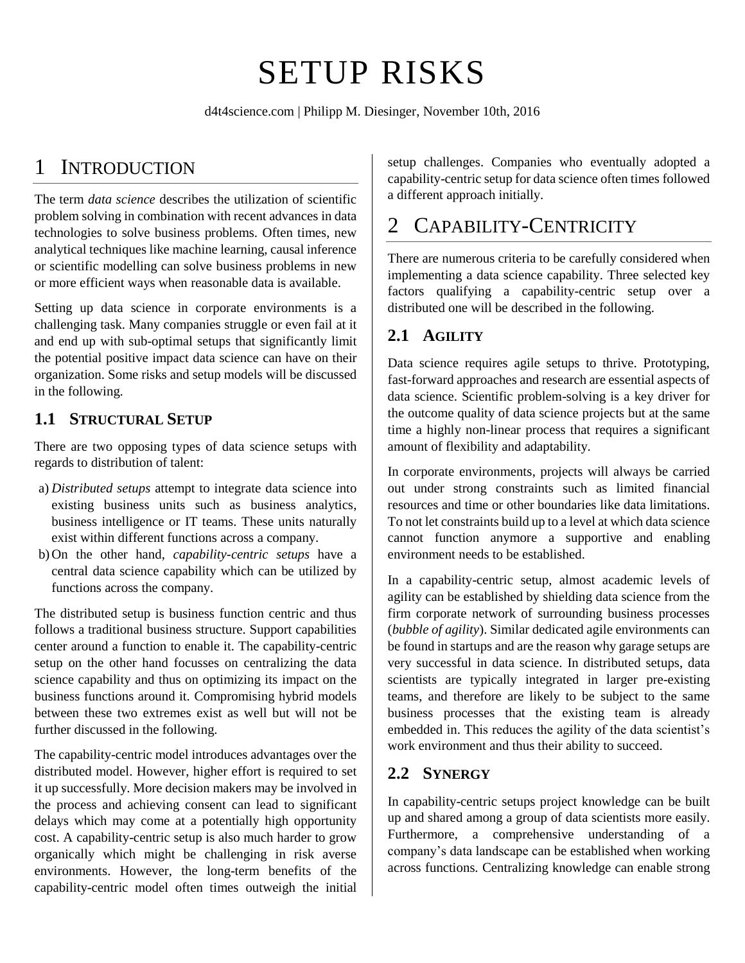# SETUP RISKS

[d4t4science.com](http://d4t4science.com/) | Philipp M. Diesinger, November 10th, 2016

# 1 INTRODUCTION

The term *data science* describes the utilization of scientific problem solving in combination with recent advances in data technologies to solve business problems. Often times, new analytical techniques like machine learning, causal inference or scientific modelling can solve business problems in new or more efficient ways when reasonable data is available.

Setting up data science in corporate environments is a challenging task. Many companies struggle or even fail at it and end up with sub-optimal setups that significantly limit the potential positive impact data science can have on their organization. Some risks and setup models will be discussed in the following.

### **1.1 STRUCTURAL SETUP**

There are two opposing types of data science setups with regards to distribution of talent:

- a) *Distributed setups* attempt to integrate data science into existing business units such as business analytics, business intelligence or IT teams. These units naturally exist within different functions across a company.
- b) On the other hand, *capability-centric setups* have a central data science capability which can be utilized by functions across the company.

The distributed setup is business function centric and thus follows a traditional business structure. Support capabilities center around a function to enable it. The capability-centric setup on the other hand focusses on centralizing the data science capability and thus on optimizing its impact on the business functions around it. Compromising hybrid models between these two extremes exist as well but will not be further discussed in the following.

The capability-centric model introduces advantages over the distributed model. However, higher effort is required to set it up successfully. More decision makers may be involved in the process and achieving consent can lead to significant delays which may come at a potentially high opportunity cost. A capability-centric setup is also much harder to grow organically which might be challenging in risk averse environments. However, the long-term benefits of the capability-centric model often times outweigh the initial

setup challenges. Companies who eventually adopted a capability-centric setup for data science often times followed a different approach initially.

# 2 CAPABILITY-CENTRICITY

There are numerous criteria to be carefully considered when implementing a data science capability. Three selected key factors qualifying a capability-centric setup over a distributed one will be described in the following.

## **2.1 AGILITY**

Data science requires agile setups to thrive. Prototyping, fast-forward approaches and research are essential aspects of data science. Scientific problem-solving is a key driver for the outcome quality of data science projects but at the same time a highly non-linear process that requires a significant amount of flexibility and adaptability.

In corporate environments, projects will always be carried out under strong constraints such as limited financial resources and time or other boundaries like data limitations. To not let constraints build up to a level at which data science cannot function anymore a supportive and enabling environment needs to be established.

In a capability-centric setup, almost academic levels of agility can be established by shielding data science from the firm corporate network of surrounding business processes (*bubble of agility*). Similar dedicated agile environments can be found in startups and are the reason why garage setups are very successful in data science. In distributed setups, data scientists are typically integrated in larger pre-existing teams, and therefore are likely to be subject to the same business processes that the existing team is already embedded in. This reduces the agility of the data scientist's work environment and thus their ability to succeed.

## **2.2 SYNERGY**

In capability-centric setups project knowledge can be built up and shared among a group of data scientists more easily. Furthermore, a comprehensive understanding of a company's data landscape can be established when working across functions. Centralizing knowledge can enable strong